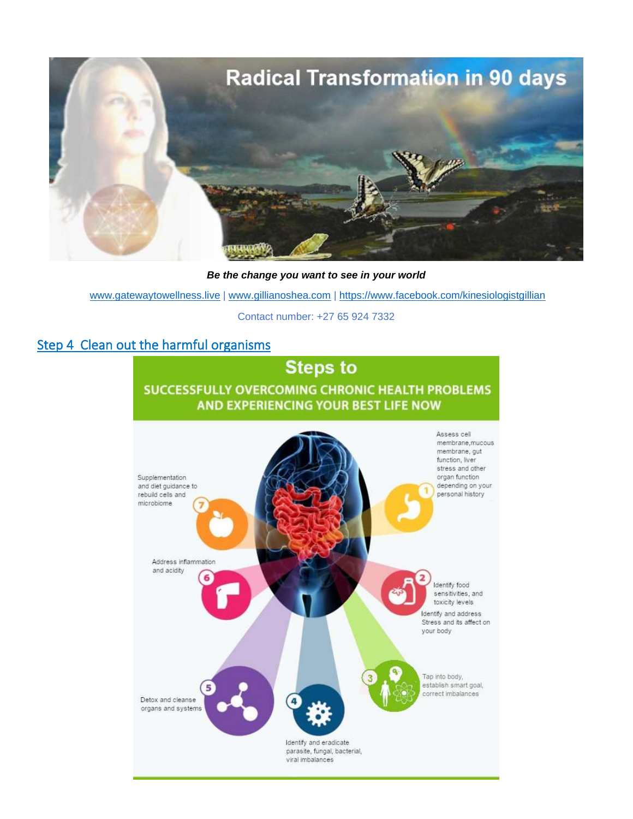

*Be the change you want to see in your world*

[www.gatewaytowellness.live](http://www.gatewaytowellness.live/) | [www.gillianoshea.com](http://www.gillianoshea.com/) |<https://www.facebook.com/kinesiologistgillian>

Contact number: +27 65 924 7332

# Step 4 Clean out the harmful organisms

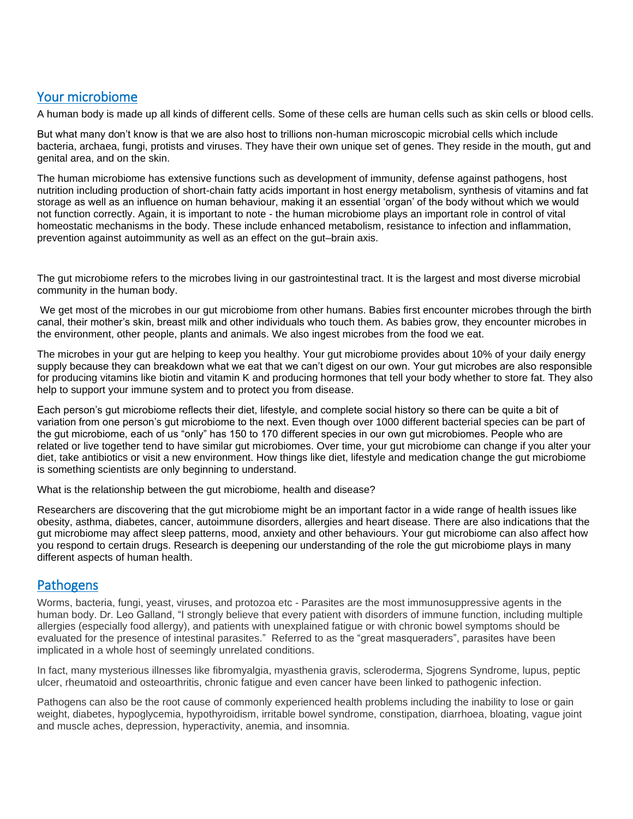## Your microbiome

A human body is made up all kinds of different cells. Some of these cells are human cells such as skin cells or blood cells.

But what many don't know is that we are also host to trillions non-human microscopic microbial cells which include bacteria, archaea, fungi, protists and viruses. They have their own unique set of genes. They reside in the mouth, gut and genital area, and on the skin.

The human microbiome has extensive functions such as development of immunity, defense against pathogens, host nutrition including production of short-chain fatty acids important in host energy metabolism, synthesis of vitamins and fat storage as well as an influence on human behaviour, making it an essential 'organ' of the body without which we would not function correctly. Again, it is important to note - the human microbiome plays an important role in control of vital homeostatic mechanisms in the body. These include enhanced metabolism, resistance to infection and inflammation, prevention against autoimmunity as well as an effect on the gut–brain axis.

The gut microbiome refers to the microbes living in our gastrointestinal tract. It is the largest and most diverse microbial community in the human body.

We get most of the microbes in our gut microbiome from other humans. Babies first encounter microbes through the birth canal, their mother's skin, breast milk and other individuals who touch them. As babies grow, they encounter microbes in the environment, other people, plants and animals. We also ingest microbes from the food we eat.

The microbes in your gut are helping to keep you healthy. Your gut microbiome provides about 10% of your daily energy supply because they can breakdown what we eat that we can't digest on our own. Your gut microbes are also responsible for producing vitamins like biotin and vitamin K and producing hormones that tell your body whether to store fat. They also help to support your immune system and to protect you from disease.

Each person's gut microbiome reflects their diet, lifestyle, and complete social history so there can be quite a bit of variation from one person's gut microbiome to the next. Even though over 1000 different bacterial species can be part of the gut microbiome, each of us "only" has 150 to 170 different species in our own gut microbiomes. People who are related or live together tend to have similar gut microbiomes. Over time, your gut microbiome can change if you alter your diet, take antibiotics or visit a new environment. How things like diet, lifestyle and medication change the gut microbiome is something scientists are only beginning to understand.

What is the relationship between the gut microbiome, health and disease?

Researchers are discovering that the gut microbiome might be an important factor in a wide range of health issues like obesity, asthma, diabetes, cancer, autoimmune disorders, allergies and heart disease. There are also indications that the gut microbiome may affect sleep patterns, mood, anxiety and other behaviours. Your gut microbiome can also affect how you respond to certain drugs. Research is deepening our understanding of the role the gut microbiome plays in many different aspects of human health.

#### **Pathogens**

Worms, bacteria, fungi, yeast, viruses, and protozoa etc - Parasites are the most immunosuppressive agents in the human body. Dr. Leo Galland, "I strongly believe that every patient with disorders of immune function, including multiple allergies (especially food allergy), and patients with unexplained fatigue or with chronic bowel symptoms should be evaluated for the presence of intestinal parasites." Referred to as the "great masqueraders", parasites have been implicated in a whole host of seemingly unrelated conditions.

In fact, many mysterious illnesses like fibromyalgia, myasthenia gravis, scleroderma, Sjogrens Syndrome, lupus, peptic ulcer, rheumatoid and osteoarthritis, chronic fatigue and even cancer have been linked to pathogenic infection.

Pathogens can also be the root cause of commonly experienced health problems including the inability to lose or gain weight, diabetes, hypoglycemia, hypothyroidism, irritable bowel syndrome, constipation, diarrhoea, bloating, vague joint and muscle aches, depression, hyperactivity, anemia, and insomnia.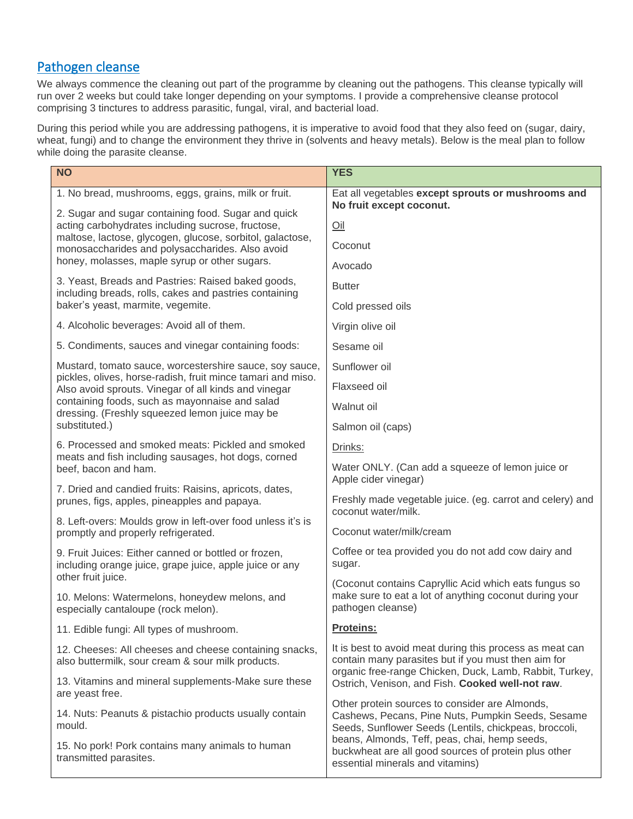# Pathogen cleanse

We always commence the cleaning out part of the programme by cleaning out the pathogens. This cleanse typically will run over 2 weeks but could take longer depending on your symptoms. I provide a comprehensive cleanse protocol comprising 3 tinctures to address parasitic, fungal, viral, and bacterial load.

During this period while you are addressing pathogens, it is imperative to avoid food that they also feed on (sugar, dairy, wheat, fungi) and to change the environment they thrive in (solvents and heavy metals). Below is the meal plan to follow while doing the parasite cleanse.

| <b>NO</b>                                                                                                                                                                                                                                                                          | <b>YES</b>                                                                                                                                                   |
|------------------------------------------------------------------------------------------------------------------------------------------------------------------------------------------------------------------------------------------------------------------------------------|--------------------------------------------------------------------------------------------------------------------------------------------------------------|
| 1. No bread, mushrooms, eggs, grains, milk or fruit.                                                                                                                                                                                                                               | Eat all vegetables except sprouts or mushrooms and<br>No fruit except coconut.                                                                               |
| 2. Sugar and sugar containing food. Sugar and quick<br>acting carbohydrates including sucrose, fructose,                                                                                                                                                                           | Oil                                                                                                                                                          |
| maltose, lactose, glycogen, glucose, sorbitol, galactose,<br>monosaccharides and polysaccharides. Also avoid                                                                                                                                                                       | Coconut                                                                                                                                                      |
| honey, molasses, maple syrup or other sugars.                                                                                                                                                                                                                                      | Avocado                                                                                                                                                      |
| 3. Yeast, Breads and Pastries: Raised baked goods,<br>including breads, rolls, cakes and pastries containing<br>baker's yeast, marmite, vegemite.                                                                                                                                  | <b>Butter</b>                                                                                                                                                |
|                                                                                                                                                                                                                                                                                    | Cold pressed oils                                                                                                                                            |
| 4. Alcoholic beverages: Avoid all of them.                                                                                                                                                                                                                                         | Virgin olive oil                                                                                                                                             |
| 5. Condiments, sauces and vinegar containing foods:                                                                                                                                                                                                                                | Sesame oil                                                                                                                                                   |
| Mustard, tomato sauce, worcestershire sauce, soy sauce,<br>pickles, olives, horse-radish, fruit mince tamari and miso.<br>Also avoid sprouts. Vinegar of all kinds and vinegar<br>containing foods, such as mayonnaise and salad<br>dressing. (Freshly squeezed lemon juice may be | Sunflower oil                                                                                                                                                |
|                                                                                                                                                                                                                                                                                    | Flaxseed oil                                                                                                                                                 |
|                                                                                                                                                                                                                                                                                    | Walnut oil                                                                                                                                                   |
| substituted.)                                                                                                                                                                                                                                                                      | Salmon oil (caps)                                                                                                                                            |
| 6. Processed and smoked meats: Pickled and smoked<br>meats and fish including sausages, hot dogs, corned<br>beef, bacon and ham.                                                                                                                                                   | Drinks:                                                                                                                                                      |
|                                                                                                                                                                                                                                                                                    | Water ONLY. (Can add a squeeze of lemon juice or<br>Apple cider vinegar)                                                                                     |
| 7. Dried and candied fruits: Raisins, apricots, dates,<br>prunes, figs, apples, pineapples and papaya.                                                                                                                                                                             | Freshly made vegetable juice. (eg. carrot and celery) and<br>coconut water/milk.                                                                             |
| 8. Left-overs: Moulds grow in left-over food unless it's is<br>promptly and properly refrigerated.                                                                                                                                                                                 | Coconut water/milk/cream                                                                                                                                     |
| 9. Fruit Juices: Either canned or bottled or frozen,<br>including orange juice, grape juice, apple juice or any                                                                                                                                                                    | Coffee or tea provided you do not add cow dairy and<br>sugar.                                                                                                |
| other fruit juice.                                                                                                                                                                                                                                                                 | (Coconut contains Capryllic Acid which eats fungus so                                                                                                        |
| 10. Melons: Watermelons, honeydew melons, and<br>especially cantaloupe (rock melon).                                                                                                                                                                                               | make sure to eat a lot of anything coconut during your<br>pathogen cleanse)                                                                                  |
| 11. Edible fungi: All types of mushroom.                                                                                                                                                                                                                                           | Proteins:                                                                                                                                                    |
| 12. Cheeses: All cheeses and cheese containing snacks,<br>also buttermilk, sour cream & sour milk products.                                                                                                                                                                        | It is best to avoid meat during this process as meat can<br>contain many parasites but if you must then aim for                                              |
| 13. Vitamins and mineral supplements-Make sure these<br>are yeast free.                                                                                                                                                                                                            | organic free-range Chicken, Duck, Lamb, Rabbit, Turkey,<br>Ostrich, Venison, and Fish. Cooked well-not raw.                                                  |
| 14. Nuts: Peanuts & pistachio products usually contain<br>mould.                                                                                                                                                                                                                   | Other protein sources to consider are Almonds,<br>Cashews, Pecans, Pine Nuts, Pumpkin Seeds, Sesame<br>Seeds, Sunflower Seeds (Lentils, chickpeas, broccoli, |
| 15. No pork! Pork contains many animals to human<br>transmitted parasites.                                                                                                                                                                                                         | beans, Almonds, Teff, peas, chai, hemp seeds,<br>buckwheat are all good sources of protein plus other<br>essential minerals and vitamins)                    |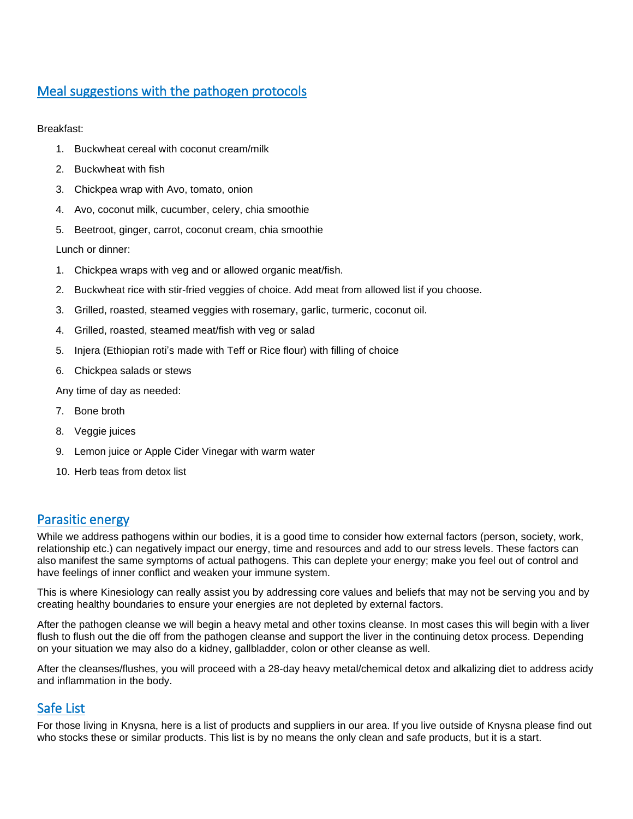## Meal suggestions with the pathogen protocols

Breakfast:

- 1. Buckwheat cereal with coconut cream/milk
- 2. Buckwheat with fish
- 3. Chickpea wrap with Avo, tomato, onion
- 4. Avo, coconut milk, cucumber, celery, chia smoothie
- 5. Beetroot, ginger, carrot, coconut cream, chia smoothie

Lunch or dinner:

- 1. Chickpea wraps with veg and or allowed organic meat/fish.
- 2. Buckwheat rice with stir-fried veggies of choice. Add meat from allowed list if you choose.
- 3. Grilled, roasted, steamed veggies with rosemary, garlic, turmeric, coconut oil.
- 4. Grilled, roasted, steamed meat/fish with veg or salad
- 5. Injera (Ethiopian roti's made with Teff or Rice flour) with filling of choice
- 6. Chickpea salads or stews

Any time of day as needed:

- 7. Bone broth
- 8. Veggie juices
- 9. Lemon juice or Apple Cider Vinegar with warm water
- 10. Herb teas from detox list

#### Parasitic energy

While we address pathogens within our bodies, it is a good time to consider how external factors (person, society, work, relationship etc.) can negatively impact our energy, time and resources and add to our stress levels. These factors can also manifest the same symptoms of actual pathogens. This can deplete your energy; make you feel out of control and have feelings of inner conflict and weaken your immune system.

This is where Kinesiology can really assist you by addressing core values and beliefs that may not be serving you and by creating healthy boundaries to ensure your energies are not depleted by external factors.

After the pathogen cleanse we will begin a heavy metal and other toxins cleanse. In most cases this will begin with a liver flush to flush out the die off from the pathogen cleanse and support the liver in the continuing detox process. Depending on your situation we may also do a kidney, gallbladder, colon or other cleanse as well.

After the cleanses/flushes, you will proceed with a 28-day heavy metal/chemical detox and alkalizing diet to address acidy and inflammation in the body.

## Safe List

For those living in Knysna, here is a list of products and suppliers in our area. If you live outside of Knysna please find out who stocks these or similar products. This list is by no means the only clean and safe products, but it is a start.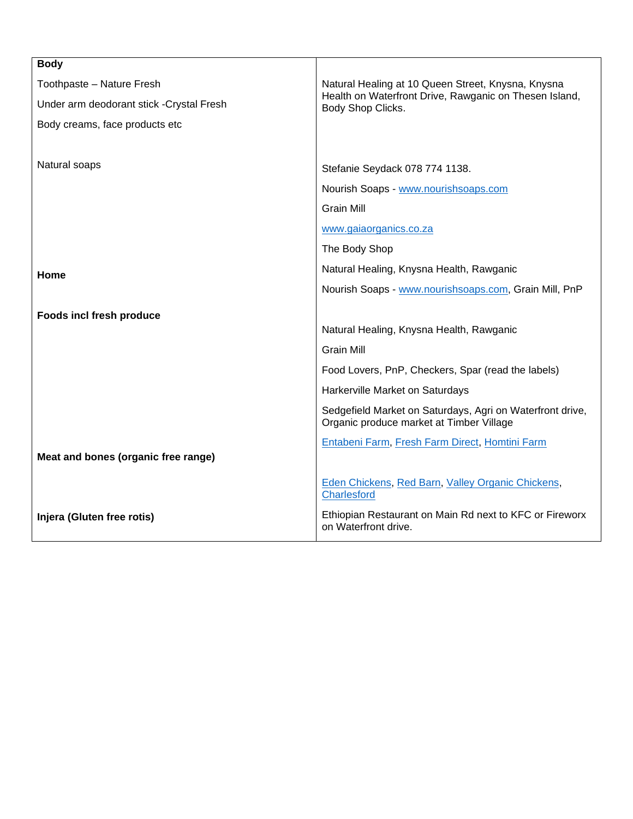| <b>Body</b>                               |                                                                                                       |
|-------------------------------------------|-------------------------------------------------------------------------------------------------------|
| Toothpaste - Nature Fresh                 | Natural Healing at 10 Queen Street, Knysna, Knysna                                                    |
| Under arm deodorant stick - Crystal Fresh | Health on Waterfront Drive, Rawganic on Thesen Island,<br>Body Shop Clicks.                           |
| Body creams, face products etc            |                                                                                                       |
|                                           |                                                                                                       |
| Natural soaps                             | Stefanie Seydack 078 774 1138.                                                                        |
|                                           | Nourish Soaps - www.nourishsoaps.com                                                                  |
|                                           | <b>Grain Mill</b>                                                                                     |
|                                           | www.gaiaorganics.co.za                                                                                |
|                                           | The Body Shop                                                                                         |
| Home                                      | Natural Healing, Knysna Health, Rawganic                                                              |
|                                           | Nourish Soaps - www.nourishsoaps.com, Grain Mill, PnP                                                 |
| <b>Foods incl fresh produce</b>           |                                                                                                       |
|                                           | Natural Healing, Knysna Health, Rawganic                                                              |
|                                           | <b>Grain Mill</b>                                                                                     |
|                                           | Food Lovers, PnP, Checkers, Spar (read the labels)                                                    |
|                                           | Harkerville Market on Saturdays                                                                       |
|                                           | Sedgefield Market on Saturdays, Agri on Waterfront drive,<br>Organic produce market at Timber Village |
|                                           | Entabeni Farm, Fresh Farm Direct, Homtini Farm                                                        |
| Meat and bones (organic free range)       |                                                                                                       |
|                                           | Eden Chickens, Red Barn, Valley Organic Chickens,<br><b>Charlesford</b>                               |
| Injera (Gluten free rotis)                | Ethiopian Restaurant on Main Rd next to KFC or Fireworx<br>on Waterfront drive.                       |